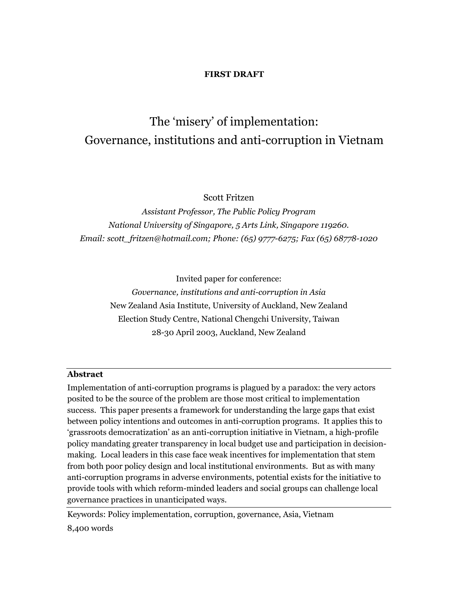# **FIRST DRAFT**

# The 'misery' of implementation: Governance, institutions and anti-corruption in Vietnam

Scott Fritzen

*Assistant Professor, The Public Policy Program National University of Singapore, 5 Arts Link, Singapore 119260. Email: scott\_fritzen@hotmail.com; Phone: (65) 9777-6275; Fax (65) 68778-1020* 

> Invited paper for conference: *Governance, institutions and anti-corruption in Asia* New Zealand Asia Institute, University of Auckland, New Zealand Election Study Centre, National Chengchi University, Taiwan 28-30 April 2003, Auckland, New Zealand

# **Abstract**

Implementation of anti-corruption programs is plagued by a paradox: the very actors posited to be the source of the problem are those most critical to implementation success. This paper presents a framework for understanding the large gaps that exist between policy intentions and outcomes in anti-corruption programs. It applies this to 'grassroots democratization' as an anti-corruption initiative in Vietnam, a high-profile policy mandating greater transparency in local budget use and participation in decisionmaking. Local leaders in this case face weak incentives for implementation that stem from both poor policy design and local institutional environments. But as with many anti-corruption programs in adverse environments, potential exists for the initiative to provide tools with which reform-minded leaders and social groups can challenge local governance practices in unanticipated ways.

Keywords: Policy implementation, corruption, governance, Asia, Vietnam 8,400 words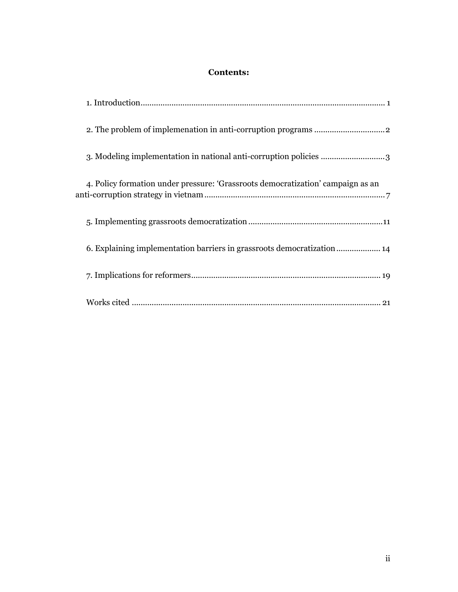# **Contents:**

| 4. Policy formation under pressure: 'Grassroots democratization' campaign as an |  |
|---------------------------------------------------------------------------------|--|
|                                                                                 |  |
| 6. Explaining implementation barriers in grassroots democratization 14          |  |
|                                                                                 |  |
|                                                                                 |  |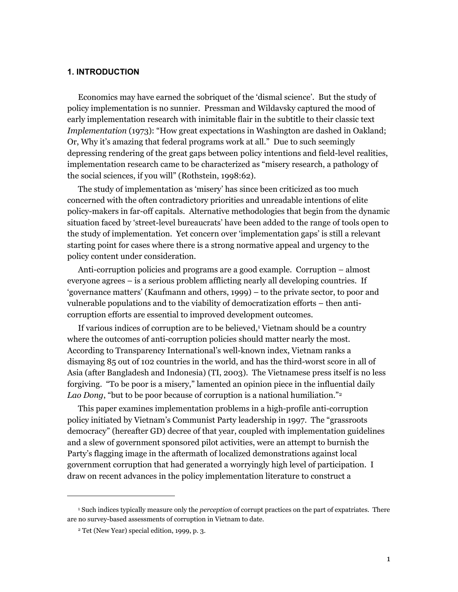# **1. INTRODUCTION**

Economics may have earned the sobriquet of the 'dismal science'. But the study of policy implementation is no sunnier. Pressman and Wildavsky captured the mood of early implementation research with inimitable flair in the subtitle to their classic text *Implementation* (1973): "How great expectations in Washington are dashed in Oakland; Or, Why it's amazing that federal programs work at all." Due to such seemingly depressing rendering of the great gaps between policy intentions and field-level realities, implementation research came to be characterized as "misery research, a pathology of the social sciences, if you will" (Rothstein, 1998:62).

The study of implementation as 'misery' has since been criticized as too much concerned with the often contradictory priorities and unreadable intentions of elite policy-makers in far-off capitals. Alternative methodologies that begin from the dynamic situation faced by 'street-level bureaucrats' have been added to the range of tools open to the study of implementation. Yet concern over 'implementation gaps' is still a relevant starting point for cases where there is a strong normative appeal and urgency to the policy content under consideration.

Anti-corruption policies and programs are a good example. Corruption – almost everyone agrees – is a serious problem afflicting nearly all developing countries. If 'governance matters' (Kaufmann and others, 1999) – to the private sector, to poor and vulnerable populations and to the viability of democratization efforts – then anticorruption efforts are essential to improved development outcomes.

If various indices of corruption are to be believed,<sup>1</sup> Vietnam should be a country where the outcomes of anti-corruption policies should matter nearly the most. According to Transparency International's well-known index, Vietnam ranks a dismaying 85 out of 102 countries in the world, and has the third-worst score in all of Asia (after Bangladesh and Indonesia) (TI, 2003). The Vietnamese press itself is no less forgiving. "To be poor is a misery," lamented an opinion piece in the influential daily *Lao Dong*, "but to be poor because of corruption is a national humiliation."2

This paper examines implementation problems in a high-profile anti-corruption policy initiated by Vietnam's Communist Party leadership in 1997. The "grassroots democracy" (hereafter GD) decree of that year, coupled with implementation guidelines and a slew of government sponsored pilot activities, were an attempt to burnish the Party's flagging image in the aftermath of localized demonstrations against local government corruption that had generated a worryingly high level of participation. I draw on recent advances in the policy implementation literature to construct a

 $\overline{a}$ 

<sup>1</sup> Such indices typically measure only the *perception* of corrupt practices on the part of expatriates. There are no survey-based assessments of corruption in Vietnam to date.

<sup>2</sup> Tet (New Year) special edition, 1999, p. 3.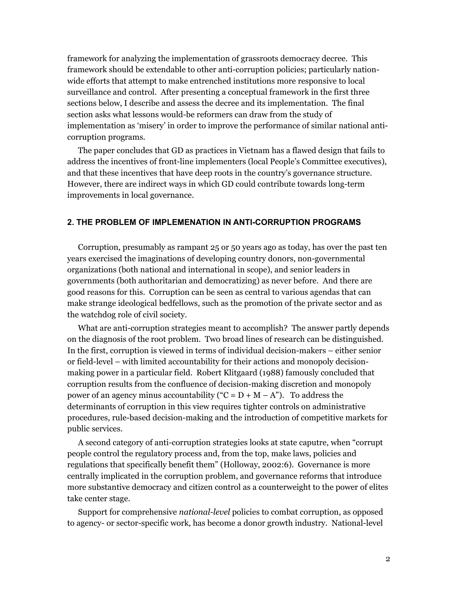framework for analyzing the implementation of grassroots democracy decree. This framework should be extendable to other anti-corruption policies; particularly nationwide efforts that attempt to make entrenched institutions more responsive to local surveillance and control. After presenting a conceptual framework in the first three sections below, I describe and assess the decree and its implementation. The final section asks what lessons would-be reformers can draw from the study of implementation as 'misery' in order to improve the performance of similar national anticorruption programs.

The paper concludes that GD as practices in Vietnam has a flawed design that fails to address the incentives of front-line implementers (local People's Committee executives), and that these incentives that have deep roots in the country's governance structure. However, there are indirect ways in which GD could contribute towards long-term improvements in local governance.

# **2. THE PROBLEM OF IMPLEMENATION IN ANTI-CORRUPTION PROGRAMS**

Corruption, presumably as rampant 25 or 50 years ago as today, has over the past ten years exercised the imaginations of developing country donors, non-governmental organizations (both national and international in scope), and senior leaders in governments (both authoritarian and democratizing) as never before. And there are good reasons for this. Corruption can be seen as central to various agendas that can make strange ideological bedfellows, such as the promotion of the private sector and as the watchdog role of civil society.

What are anti-corruption strategies meant to accomplish? The answer partly depends on the diagnosis of the root problem. Two broad lines of research can be distinguished. In the first, corruption is viewed in terms of individual decision-makers – either senior or field-level – with limited accountability for their actions and monopoly decisionmaking power in a particular field. Robert Klitgaard (1988) famously concluded that corruption results from the confluence of decision-making discretion and monopoly power of an agency minus accountability ( ${}^{\circ}C = D + M - A$ "). To address the determinants of corruption in this view requires tighter controls on administrative procedures, rule-based decision-making and the introduction of competitive markets for public services.

A second category of anti-corruption strategies looks at state caputre, when "corrupt people control the regulatory process and, from the top, make laws, policies and regulations that specifically benefit them" (Holloway, 2002:6). Governance is more centrally implicated in the corruption problem, and governance reforms that introduce more substantive democracy and citizen control as a counterweight to the power of elites take center stage.

Support for comprehensive *national-level* policies to combat corruption, as opposed to agency- or sector-specific work, has become a donor growth industry. National-level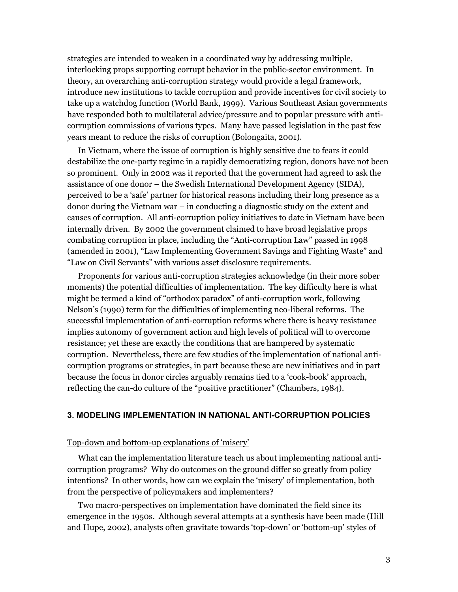strategies are intended to weaken in a coordinated way by addressing multiple, interlocking props supporting corrupt behavior in the public-sector environment. In theory, an overarching anti-corruption strategy would provide a legal framework, introduce new institutions to tackle corruption and provide incentives for civil society to take up a watchdog function (World Bank, 1999). Various Southeast Asian governments have responded both to multilateral advice/pressure and to popular pressure with anticorruption commissions of various types. Many have passed legislation in the past few years meant to reduce the risks of corruption (Bolongaita, 2001).

In Vietnam, where the issue of corruption is highly sensitive due to fears it could destabilize the one-party regime in a rapidly democratizing region, donors have not been so prominent. Only in 2002 was it reported that the government had agreed to ask the assistance of one donor – the Swedish International Development Agency (SIDA), perceived to be a 'safe' partner for historical reasons including their long presence as a donor during the Vietnam war – in conducting a diagnostic study on the extent and causes of corruption. All anti-corruption policy initiatives to date in Vietnam have been internally driven. By 2002 the government claimed to have broad legislative props combating corruption in place, including the "Anti-corruption Law" passed in 1998 (amended in 2001), "Law Implementing Government Savings and Fighting Waste" and "Law on Civil Servants" with various asset disclosure requirements.

Proponents for various anti-corruption strategies acknowledge (in their more sober moments) the potential difficulties of implementation. The key difficulty here is what might be termed a kind of "orthodox paradox" of anti-corruption work, following Nelson's (1990) term for the difficulties of implementing neo-liberal reforms. The successful implementation of anti-corruption reforms where there is heavy resistance implies autonomy of government action and high levels of political will to overcome resistance; yet these are exactly the conditions that are hampered by systematic corruption. Nevertheless, there are few studies of the implementation of national anticorruption programs or strategies, in part because these are new initiatives and in part because the focus in donor circles arguably remains tied to a 'cook-book' approach, reflecting the can-do culture of the "positive practitioner" (Chambers, 1984).

## **3. MODELING IMPLEMENTATION IN NATIONAL ANTI-CORRUPTION POLICIES**

## Top-down and bottom-up explanations of 'misery'

What can the implementation literature teach us about implementing national anticorruption programs? Why do outcomes on the ground differ so greatly from policy intentions? In other words, how can we explain the 'misery' of implementation, both from the perspective of policymakers and implementers?

Two macro-perspectives on implementation have dominated the field since its emergence in the 1950s. Although several attempts at a synthesis have been made (Hill and Hupe, 2002), analysts often gravitate towards 'top-down' or 'bottom-up' styles of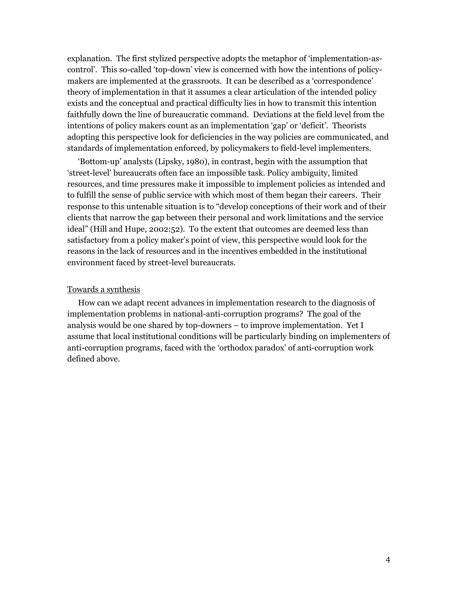explanation. The first stylized perspective adopts the metaphor of 'implementation-ascontrol'. This so-called 'top-down' view is concerned with how the intentions of policymakers are implemented at the grassroots. It can be described as a 'correspondence' theory of implementation in that it assumes a clear articulation of the intended policy exists and the conceptual and practical difficulty lies in how to transmit this intention faithfully down the line of bureaucratic command. Deviations at the field level from the intentions of policy makers count as an implementation 'gap' or 'deficit'. Theorists adopting this perspective look for deficiencies in the way policies are communicated, and standards of implementation enforced, by policymakers to field-level implementers.

'Bottom-up' analysts (Lipsky, 1980), in contrast, begin with the assumption that 'street-level' bureaucrats often face an impossible task. Policy ambiguity, limited resources, and time pressures make it impossible to implement policies as intended and to fulfill the sense of public service with which most of them began their careers. Their response to this untenable situation is to "develop conceptions of their work and of their clients that narrow the gap between their personal and work limitations and the service ideal" (Hill and Hupe, 2002:52). To the extent that outcomes are deemed less than satisfactory from a policy maker's point of view, this perspective would look for the reasons in the lack of resources and in the incentives embedded in the institutional environment faced by street-level bureaucrats.

# Towards a synthesis

How can we adapt recent advances in implementation research to the diagnosis of implementation problems in national-anti-corruption programs? The goal of the analysis would be one shared by top-downers – to improve implementation. Yet I assume that local institutional conditions will be particularly binding on implementers of anti-corruption programs, faced with the 'orthodox paradox' of anti-corruption work defined above.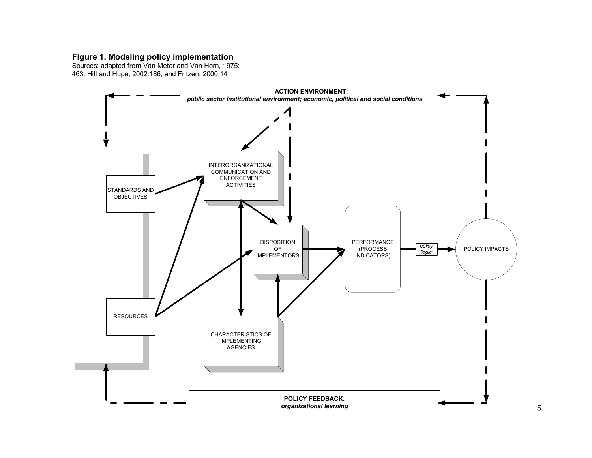## **Figure 1. Modeling policy implementation**

Sources: adapted from Van Meter and Van Horn, 1975: 463; Hill and Hupe, 2002:186; and Fritzen, 2000:14

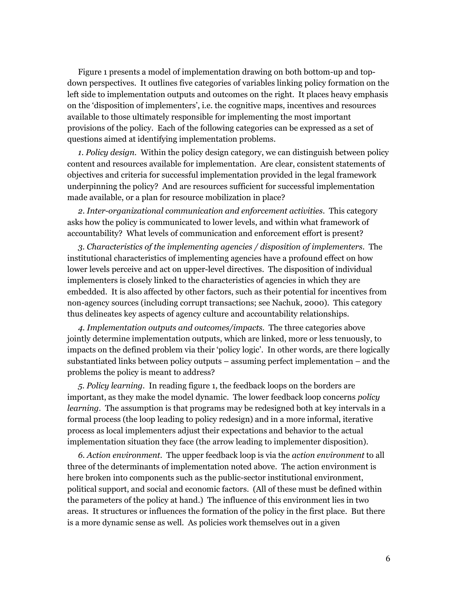Figure 1 presents a model of implementation drawing on both bottom-up and topdown perspectives. It outlines five categories of variables linking policy formation on the left side to implementation outputs and outcomes on the right. It places heavy emphasis on the 'disposition of implementers', i.e. the cognitive maps, incentives and resources available to those ultimately responsible for implementing the most important provisions of the policy. Each of the following categories can be expressed as a set of questions aimed at identifying implementation problems.

*1. Policy design.* Within the policy design category, we can distinguish between policy content and resources available for implementation. Are clear, consistent statements of objectives and criteria for successful implementation provided in the legal framework underpinning the policy? And are resources sufficient for successful implementation made available, or a plan for resource mobilization in place?

*2. Inter-organizational communication and enforcement activities*. This category asks how the policy is communicated to lower levels, and within what framework of accountability? What levels of communication and enforcement effort is present?

*3. Characteristics of the implementing agencies / disposition of implementers*. The institutional characteristics of implementing agencies have a profound effect on how lower levels perceive and act on upper-level directives. The disposition of individual implementers is closely linked to the characteristics of agencies in which they are embedded. It is also affected by other factors, such as their potential for incentives from non-agency sources (including corrupt transactions; see Nachuk, 2000). This category thus delineates key aspects of agency culture and accountability relationships.

*4. Implementation outputs and outcomes/impacts.* The three categories above jointly determine implementation outputs, which are linked, more or less tenuously, to impacts on the defined problem via their 'policy logic'. In other words, are there logically substantiated links between policy outputs – assuming perfect implementation – and the problems the policy is meant to address?

*5. Policy learning.* In reading figure 1, the feedback loops on the borders are important, as they make the model dynamic. The lower feedback loop concerns *policy learning.* The assumption is that programs may be redesigned both at key intervals in a formal process (the loop leading to policy redesign) and in a more informal, iterative process as local implementers adjust their expectations and behavior to the actual implementation situation they face (the arrow leading to implementer disposition).

*6. Action environment.* The upper feedback loop is via the *action environment* to all three of the determinants of implementation noted above. The action environment is here broken into components such as the public-sector institutional environment, political support, and social and economic factors. (All of these must be defined within the parameters of the policy at hand.) The influence of this environment lies in two areas. It structures or influences the formation of the policy in the first place. But there is a more dynamic sense as well. As policies work themselves out in a given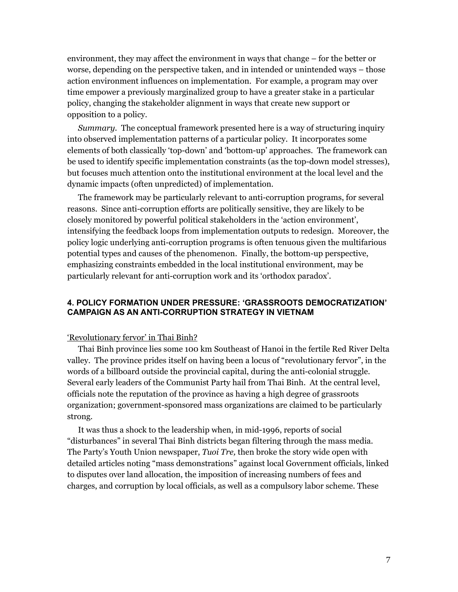environment, they may affect the environment in ways that change – for the better or worse, depending on the perspective taken, and in intended or unintended ways – those action environment influences on implementation. For example, a program may over time empower a previously marginalized group to have a greater stake in a particular policy, changing the stakeholder alignment in ways that create new support or opposition to a policy.

*Summary.* The conceptual framework presented here is a way of structuring inquiry into observed implementation patterns of a particular policy. It incorporates some elements of both classically 'top-down' and 'bottom-up' approaches. The framework can be used to identify specific implementation constraints (as the top-down model stresses), but focuses much attention onto the institutional environment at the local level and the dynamic impacts (often unpredicted) of implementation.

The framework may be particularly relevant to anti-corruption programs, for several reasons. Since anti-corruption efforts are politically sensitive, they are likely to be closely monitored by powerful political stakeholders in the 'action environment', intensifying the feedback loops from implementation outputs to redesign. Moreover, the policy logic underlying anti-corruption programs is often tenuous given the multifarious potential types and causes of the phenomenon. Finally, the bottom-up perspective, emphasizing constraints embedded in the local institutional environment, may be particularly relevant for anti-corruption work and its 'orthodox paradox'.

# **4. POLICY FORMATION UNDER PRESSURE: 'GRASSROOTS DEMOCRATIZATION' CAMPAIGN AS AN ANTI-CORRUPTION STRATEGY IN VIETNAM**

# 'Revolutionary fervor' in Thai Binh?

Thai Binh province lies some 100 km Southeast of Hanoi in the fertile Red River Delta valley. The province prides itself on having been a locus of "revolutionary fervor", in the words of a billboard outside the provincial capital, during the anti-colonial struggle. Several early leaders of the Communist Party hail from Thai Binh. At the central level, officials note the reputation of the province as having a high degree of grassroots organization; government-sponsored mass organizations are claimed to be particularly strong.

It was thus a shock to the leadership when, in mid-1996, reports of social "disturbances" in several Thai Binh districts began filtering through the mass media. The Party's Youth Union newspaper, *Tuoi Tre,* then broke the story wide open with detailed articles noting "mass demonstrations" against local Government officials, linked to disputes over land allocation, the imposition of increasing numbers of fees and charges, and corruption by local officials, as well as a compulsory labor scheme. These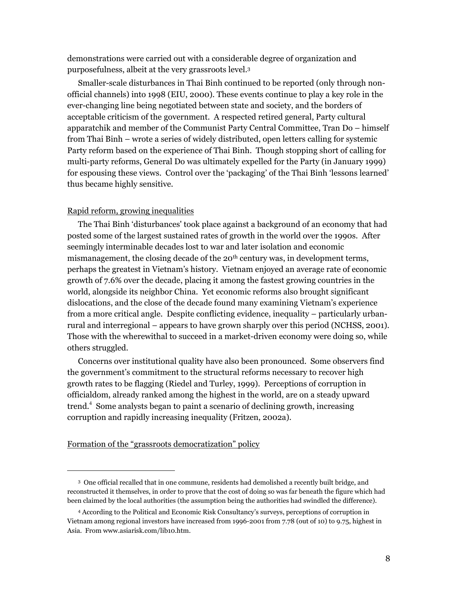demonstrations were carried out with a considerable degree of organization and purposefulness, albeit at the very grassroots level.3

Smaller-scale disturbances in Thai Binh continued to be reported (only through nonofficial channels) into 1998 (EIU, 2000). These events continue to play a key role in the ever-changing line being negotiated between state and society, and the borders of acceptable criticism of the government. A respected retired general, Party cultural apparatchik and member of the Communist Party Central Committee, Tran Do – himself from Thai Binh – wrote a series of widely distributed, open letters calling for systemic Party reform based on the experience of Thai Binh. Though stopping short of calling for multi-party reforms, General Do was ultimately expelled for the Party (in January 1999) for espousing these views. Control over the 'packaging' of the Thai Binh 'lessons learned' thus became highly sensitive.

# Rapid reform, growing inequalities

The Thai Binh 'disturbances' took place against a background of an economy that had posted some of the largest sustained rates of growth in the world over the 1990s. After seemingly interminable decades lost to war and later isolation and economic mismanagement, the closing decade of the  $20<sup>th</sup>$  century was, in development terms, perhaps the greatest in Vietnam's history. Vietnam enjoyed an average rate of economic growth of 7.6% over the decade, placing it among the fastest growing countries in the world, alongside its neighbor China. Yet economic reforms also brought significant dislocations, and the close of the decade found many examining Vietnam's experience from a more critical angle. Despite conflicting evidence, inequality – particularly urbanrural and interregional – appears to have grown sharply over this period (NCHSS, 2001). Those with the wherewithal to succeed in a market-driven economy were doing so, while others struggled.

Concerns over institutional quality have also been pronounced. Some observers find the government's commitment to the structural reforms necessary to recover high growth rates to be flagging (Riedel and Turley, 1999). Perceptions of corruption in officialdom, already ranked among the highest in the world, are on a steady upward trend.<sup>4</sup> Some analysts began to paint a scenario of declining growth, increasing corruption and rapidly increasing inequality (Fritzen, 2002a).

#### Formation of the "grassroots democratization" policy

 $\overline{a}$ 

<sup>3</sup> One official recalled that in one commune, residents had demolished a recently built bridge, and reconstructed it themselves, in order to prove that the cost of doing so was far beneath the figure which had been claimed by the local authorities (the assumption being the authorities had swindled the difference).

<sup>4</sup> According to the Political and Economic Risk Consultancy's surveys, perceptions of corruption in Vietnam among regional investors have increased from 1996-2001 from 7.78 (out of 10) to 9.75, highest in Asia. From www.asiarisk.com/lib10.htm.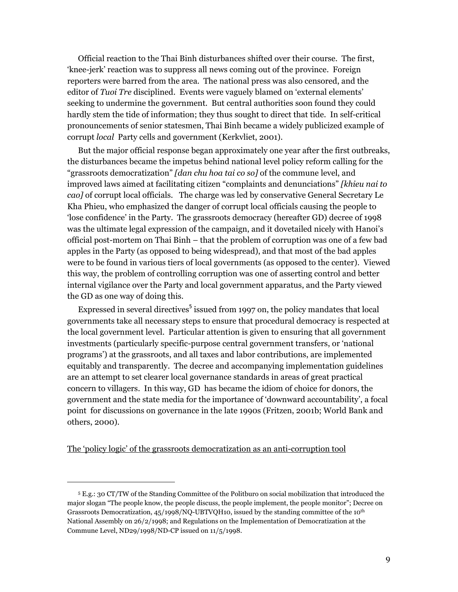Official reaction to the Thai Binh disturbances shifted over their course. The first, 'knee-jerk' reaction was to suppress all news coming out of the province. Foreign reporters were barred from the area. The national press was also censored, and the editor of *Tuoi Tre* disciplined. Events were vaguely blamed on 'external elements' seeking to undermine the government. But central authorities soon found they could hardly stem the tide of information; they thus sought to direct that tide. In self-critical pronouncements of senior statesmen, Thai Binh became a widely publicized example of corrupt *local* Party cells and government (Kerkvliet, 2001).

But the major official response began approximately one year after the first outbreaks, the disturbances became the impetus behind national level policy reform calling for the "grassroots democratization" *[dan chu hoa tai co so]* of the commune level, and improved laws aimed at facilitating citizen "complaints and denunciations" *[khieu nai to cao]* of corrupt local officials. The charge was led by conservative General Secretary Le Kha Phieu, who emphasized the danger of corrupt local officials causing the people to 'lose confidence' in the Party. The grassroots democracy (hereafter GD) decree of 1998 was the ultimate legal expression of the campaign, and it dovetailed nicely with Hanoi's official post-mortem on Thai Binh – that the problem of corruption was one of a few bad apples in the Party (as opposed to being widespread), and that most of the bad apples were to be found in various tiers of local governments (as opposed to the center). Viewed this way, the problem of controlling corruption was one of asserting control and better internal vigilance over the Party and local government apparatus, and the Party viewed the GD as one way of doing this.

Expressed in several directives<sup>5</sup> issued from 1997 on, the policy mandates that local governments take all necessary steps to ensure that procedural democracy is respected at the local government level. Particular attention is given to ensuring that all government investments (particularly specific-purpose central government transfers, or 'national programs') at the grassroots, and all taxes and labor contributions, are implemented equitably and transparently. The decree and accompanying implementation guidelines are an attempt to set clearer local governance standards in areas of great practical concern to villagers. In this way, GD has became the idiom of choice for donors, the government and the state media for the importance of 'downward accountability', a focal point for discussions on governance in the late 1990s (Fritzen, 2001b; World Bank and others, 2000).

# The 'policy logic' of the grassroots democratization as an anti-corruption tool

<u>.</u>

<sup>5</sup> E.g.: 30 CT/TW of the Standing Committee of the Politburo on social mobilization that introduced the major slogan "The people know, the people discuss, the people implement, the people monitor"; Decree on Grassroots Democratization,  $45/1998/NQ$ -UBTVQH10, issued by the standing committee of the 10<sup>th</sup> National Assembly on 26/2/1998; and Regulations on the Implementation of Democratization at the Commune Level, ND29/1998/ND-CP issued on 11/5/1998.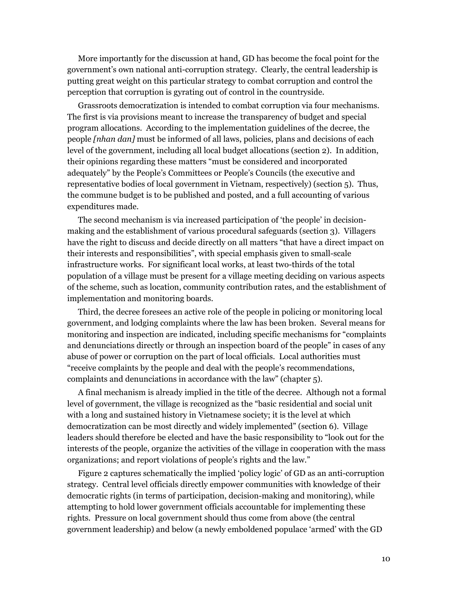More importantly for the discussion at hand, GD has become the focal point for the government's own national anti-corruption strategy. Clearly, the central leadership is putting great weight on this particular strategy to combat corruption and control the perception that corruption is gyrating out of control in the countryside.

Grassroots democratization is intended to combat corruption via four mechanisms. The first is via provisions meant to increase the transparency of budget and special program allocations. According to the implementation guidelines of the decree, the people *[nhan dan]* must be informed of all laws, policies, plans and decisions of each level of the government, including all local budget allocations (section 2). In addition, their opinions regarding these matters "must be considered and incorporated adequately" by the People's Committees or People's Councils (the executive and representative bodies of local government in Vietnam, respectively) (section 5). Thus, the commune budget is to be published and posted, and a full accounting of various expenditures made.

The second mechanism is via increased participation of 'the people' in decisionmaking and the establishment of various procedural safeguards (section 3). Villagers have the right to discuss and decide directly on all matters "that have a direct impact on their interests and responsibilities", with special emphasis given to small-scale infrastructure works. For significant local works, at least two-thirds of the total population of a village must be present for a village meeting deciding on various aspects of the scheme, such as location, community contribution rates, and the establishment of implementation and monitoring boards.

Third, the decree foresees an active role of the people in policing or monitoring local government, and lodging complaints where the law has been broken. Several means for monitoring and inspection are indicated, including specific mechanisms for "complaints and denunciations directly or through an inspection board of the people" in cases of any abuse of power or corruption on the part of local officials. Local authorities must "receive complaints by the people and deal with the people's recommendations, complaints and denunciations in accordance with the law" (chapter 5).

A final mechanism is already implied in the title of the decree. Although not a formal level of government, the village is recognized as the "basic residential and social unit with a long and sustained history in Vietnamese society; it is the level at which democratization can be most directly and widely implemented" (section 6). Village leaders should therefore be elected and have the basic responsibility to "look out for the interests of the people, organize the activities of the village in cooperation with the mass organizations; and report violations of people's rights and the law."

Figure 2 captures schematically the implied 'policy logic' of GD as an anti-corruption strategy. Central level officials directly empower communities with knowledge of their democratic rights (in terms of participation, decision-making and monitoring), while attempting to hold lower government officials accountable for implementing these rights. Pressure on local government should thus come from above (the central government leadership) and below (a newly emboldened populace 'armed' with the GD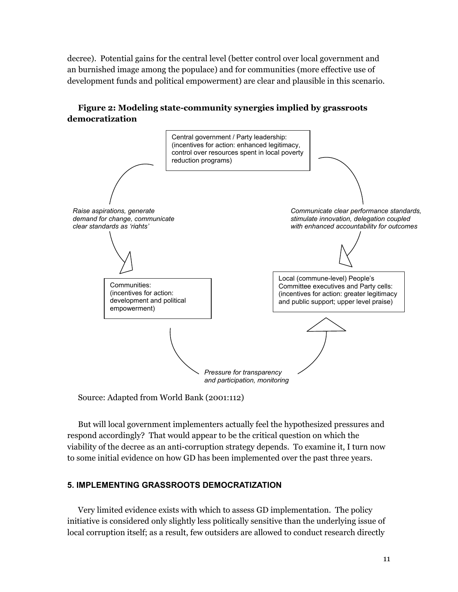decree). Potential gains for the central level (better control over local government and an burnished image among the populace) and for communities (more effective use of development funds and political empowerment) are clear and plausible in this scenario.

# **Figure 2: Modeling state-community synergies implied by grassroots democratization**



Source: Adapted from World Bank (2001:112)

But will local government implementers actually feel the hypothesized pressures and respond accordingly? That would appear to be the critical question on which the viability of the decree as an anti-corruption strategy depends. To examine it, I turn now to some initial evidence on how GD has been implemented over the past three years.

# **5. IMPLEMENTING GRASSROOTS DEMOCRATIZATION**

Very limited evidence exists with which to assess GD implementation. The policy initiative is considered only slightly less politically sensitive than the underlying issue of local corruption itself; as a result, few outsiders are allowed to conduct research directly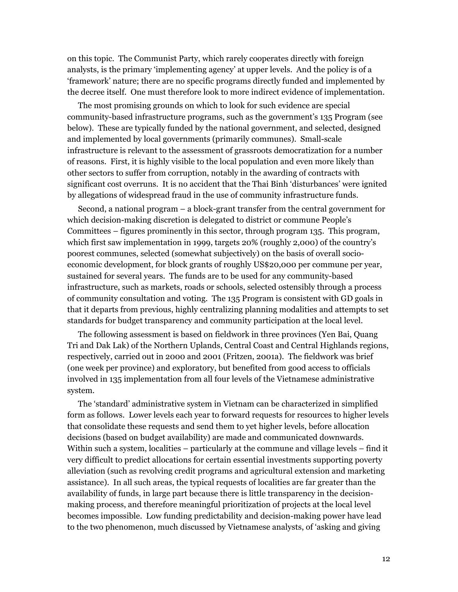on this topic. The Communist Party, which rarely cooperates directly with foreign analysts, is the primary 'implementing agency' at upper levels. And the policy is of a 'framework' nature; there are no specific programs directly funded and implemented by the decree itself. One must therefore look to more indirect evidence of implementation.

The most promising grounds on which to look for such evidence are special community-based infrastructure programs, such as the government's 135 Program (see below). These are typically funded by the national government, and selected, designed and implemented by local governments (primarily communes). Small-scale infrastructure is relevant to the assessment of grassroots democratization for a number of reasons. First, it is highly visible to the local population and even more likely than other sectors to suffer from corruption, notably in the awarding of contracts with significant cost overruns. It is no accident that the Thai Binh 'disturbances' were ignited by allegations of widespread fraud in the use of community infrastructure funds.

Second, a national program – a block-grant transfer from the central government for which decision-making discretion is delegated to district or commune People's Committees – figures prominently in this sector, through program 135. This program, which first saw implementation in 1999, targets 20% (roughly 2,000) of the country's poorest communes, selected (somewhat subjectively) on the basis of overall socioeconomic development, for block grants of roughly US\$20,000 per commune per year, sustained for several years. The funds are to be used for any community-based infrastructure, such as markets, roads or schools, selected ostensibly through a process of community consultation and voting. The 135 Program is consistent with GD goals in that it departs from previous, highly centralizing planning modalities and attempts to set standards for budget transparency and community participation at the local level.

The following assessment is based on fieldwork in three provinces (Yen Bai, Quang Tri and Dak Lak) of the Northern Uplands, Central Coast and Central Highlands regions, respectively, carried out in 2000 and 2001 (Fritzen, 2001a). The fieldwork was brief (one week per province) and exploratory, but benefited from good access to officials involved in 135 implementation from all four levels of the Vietnamese administrative system.

The 'standard' administrative system in Vietnam can be characterized in simplified form as follows. Lower levels each year to forward requests for resources to higher levels that consolidate these requests and send them to yet higher levels, before allocation decisions (based on budget availability) are made and communicated downwards. Within such a system, localities – particularly at the commune and village levels – find it very difficult to predict allocations for certain essential investments supporting poverty alleviation (such as revolving credit programs and agricultural extension and marketing assistance). In all such areas, the typical requests of localities are far greater than the availability of funds, in large part because there is little transparency in the decisionmaking process, and therefore meaningful prioritization of projects at the local level becomes impossible. Low funding predictability and decision-making power have lead to the two phenomenon, much discussed by Vietnamese analysts, of 'asking and giving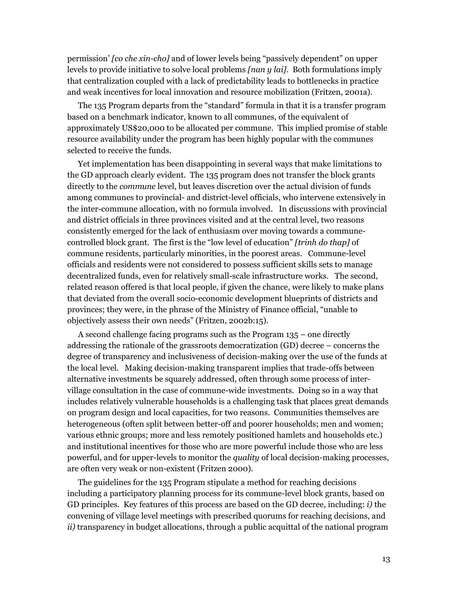permission' *[co che xin-cho]* and of lower levels being "passively dependent" on upper levels to provide initiative to solve local problems *[nan y lai]*. Both formulations imply that centralization coupled with a lack of predictability leads to bottlenecks in practice and weak incentives for local innovation and resource mobilization (Fritzen, 2001a).

The 135 Program departs from the "standard" formula in that it is a transfer program based on a benchmark indicator, known to all communes, of the equivalent of approximately US\$20,000 to be allocated per commune. This implied promise of stable resource availability under the program has been highly popular with the communes selected to receive the funds.

Yet implementation has been disappointing in several ways that make limitations to the GD approach clearly evident. The 135 program does not transfer the block grants directly to the *commune* level, but leaves discretion over the actual division of funds among communes to provincial- and district-level officials, who intervene extensively in the inter-commune allocation, with no formula involved. In discussions with provincial and district officials in three provinces visited and at the central level, two reasons consistently emerged for the lack of enthusiasm over moving towards a communecontrolled block grant. The first is the "low level of education" *[trinh do thap]* of commune residents, particularly minorities, in the poorest areas. Commune-level officials and residents were not considered to possess sufficient skills sets to manage decentralized funds, even for relatively small-scale infrastructure works. The second, related reason offered is that local people, if given the chance, were likely to make plans that deviated from the overall socio-economic development blueprints of districts and provinces; they were, in the phrase of the Ministry of Finance official, "unable to objectively assess their own needs" (Fritzen, 2002b:15).

A second challenge facing programs such as the Program 135 – one directly addressing the rationale of the grassroots democratization (GD) decree – concerns the degree of transparency and inclusiveness of decision-making over the use of the funds at the local level. Making decision-making transparent implies that trade-offs between alternative investments be squarely addressed, often through some process of intervillage consultation in the case of commune-wide investments. Doing so in a way that includes relatively vulnerable households is a challenging task that places great demands on program design and local capacities, for two reasons. Communities themselves are heterogeneous (often split between better-off and poorer households; men and women; various ethnic groups; more and less remotely positioned hamlets and households etc.) and institutional incentives for those who are more powerful include those who are less powerful, and for upper-levels to monitor the *quality* of local decision-making processes, are often very weak or non-existent (Fritzen 2000).

The guidelines for the 135 Program stipulate a method for reaching decisions including a participatory planning process for its commune-level block grants, based on GD principles. Key features of this process are based on the GD decree, including: *i)* the convening of village level meetings with prescribed quorums for reaching decisions, and *ii)* transparency in budget allocations, through a public acquittal of the national program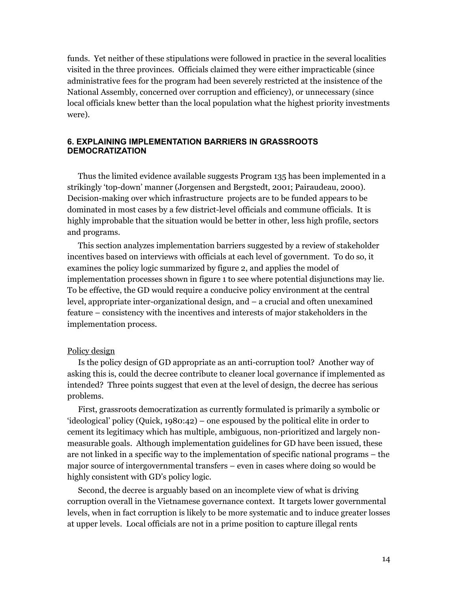funds. Yet neither of these stipulations were followed in practice in the several localities visited in the three provinces. Officials claimed they were either impracticable (since administrative fees for the program had been severely restricted at the insistence of the National Assembly, concerned over corruption and efficiency), or unnecessary (since local officials knew better than the local population what the highest priority investments were).

# **6. EXPLAINING IMPLEMENTATION BARRIERS IN GRASSROOTS DEMOCRATIZATION**

Thus the limited evidence available suggests Program 135 has been implemented in a strikingly 'top-down' manner (Jorgensen and Bergstedt, 2001; Pairaudeau, 2000). Decision-making over which infrastructure projects are to be funded appears to be dominated in most cases by a few district-level officials and commune officials. It is highly improbable that the situation would be better in other, less high profile, sectors and programs.

This section analyzes implementation barriers suggested by a review of stakeholder incentives based on interviews with officials at each level of government. To do so, it examines the policy logic summarized by figure 2, and applies the model of implementation processes shown in figure 1 to see where potential disjunctions may lie. To be effective, the GD would require a conducive policy environment at the central level, appropriate inter-organizational design, and – a crucial and often unexamined feature – consistency with the incentives and interests of major stakeholders in the implementation process.

# Policy design

Is the policy design of GD appropriate as an anti-corruption tool? Another way of asking this is, could the decree contribute to cleaner local governance if implemented as intended? Three points suggest that even at the level of design, the decree has serious problems.

First, grassroots democratization as currently formulated is primarily a symbolic or 'ideological' policy (Quick, 1980:42) – one espoused by the political elite in order to cement its legitimacy which has multiple, ambiguous, non-prioritized and largely nonmeasurable goals. Although implementation guidelines for GD have been issued, these are not linked in a specific way to the implementation of specific national programs – the major source of intergovernmental transfers – even in cases where doing so would be highly consistent with GD's policy logic.

Second, the decree is arguably based on an incomplete view of what is driving corruption overall in the Vietnamese governance context. It targets lower governmental levels, when in fact corruption is likely to be more systematic and to induce greater losses at upper levels. Local officials are not in a prime position to capture illegal rents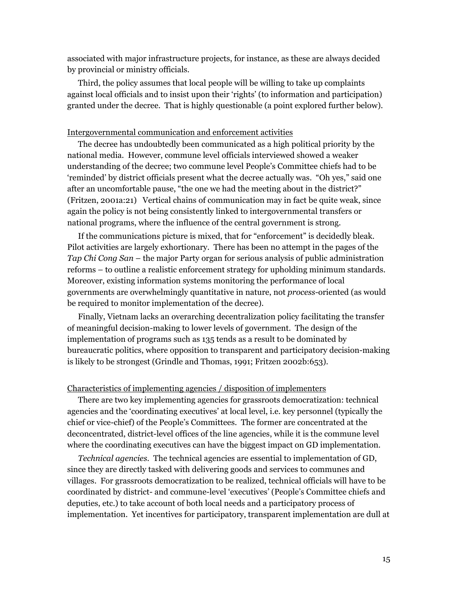associated with major infrastructure projects, for instance, as these are always decided by provincial or ministry officials.

Third, the policy assumes that local people will be willing to take up complaints against local officials and to insist upon their 'rights' (to information and participation) granted under the decree. That is highly questionable (a point explored further below).

# Intergovernmental communication and enforcement activities

The decree has undoubtedly been communicated as a high political priority by the national media. However, commune level officials interviewed showed a weaker understanding of the decree; two commune level People's Committee chiefs had to be 'reminded' by district officials present what the decree actually was. "Oh yes," said one after an uncomfortable pause, "the one we had the meeting about in the district?" (Fritzen, 2001a:21) Vertical chains of communication may in fact be quite weak, since again the policy is not being consistently linked to intergovernmental transfers or national programs, where the influence of the central government is strong.

If the communications picture is mixed, that for "enforcement" is decidedly bleak. Pilot activities are largely exhortionary. There has been no attempt in the pages of the *Tap Chi Cong San* – the major Party organ for serious analysis of public administration reforms – to outline a realistic enforcement strategy for upholding minimum standards. Moreover, existing information systems monitoring the performance of local governments are overwhelmingly quantitative in nature, not *process-*oriented (as would be required to monitor implementation of the decree).

Finally, Vietnam lacks an overarching decentralization policy facilitating the transfer of meaningful decision-making to lower levels of government. The design of the implementation of programs such as 135 tends as a result to be dominated by bureaucratic politics, where opposition to transparent and participatory decision-making is likely to be strongest (Grindle and Thomas, 1991; Fritzen 2002b:653).

#### Characteristics of implementing agencies / disposition of implementers

There are two key implementing agencies for grassroots democratization: technical agencies and the 'coordinating executives' at local level, i.e. key personnel (typically the chief or vice-chief) of the People's Committees. The former are concentrated at the deconcentrated, district-level offices of the line agencies, while it is the commune level where the coordinating executives can have the biggest impact on GD implementation.

*Technical agencies*. The technical agencies are essential to implementation of GD, since they are directly tasked with delivering goods and services to communes and villages. For grassroots democratization to be realized, technical officials will have to be coordinated by district- and commune-level 'executives' (People's Committee chiefs and deputies, etc.) to take account of both local needs and a participatory process of implementation. Yet incentives for participatory, transparent implementation are dull at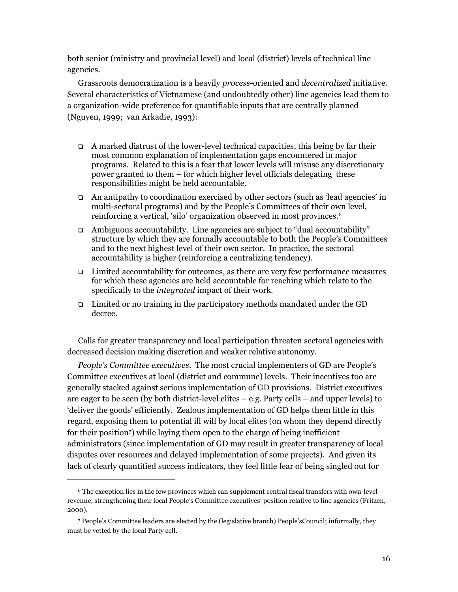both senior (ministry and provincial level) and local (district) levels of technical line agencies.

Grassroots democratization is a heavily *process*-oriented and *decentralized* initiative*.*  Several characteristics of Vietnamese (and undoubtedly other) line agencies lead them to a organization-wide preference for quantifiable inputs that are centrally planned (Nguyen, 1999; van Arkadie, 1993):

- $\Box$  A marked distrust of the lower-level technical capacities, this being by far their most common explanation of implementation gaps encountered in major programs. Related to this is a fear that lower levels will misuse any discretionary power granted to them – for which higher level officials delegating these responsibilities might be held accountable.
- An antipathy to coordination exercised by other sectors (such as 'lead agencies' in multi-sectoral programs) and by the People's Committees of their own level, reinforcing a vertical, 'silo' organization observed in most provinces.6
- Ambiguous accountability. Line agencies are subject to "dual accountability" structure by which they are formally accountable to both the People's Committees and to the next highest level of their own sector. In practice, the sectoral accountability is higher (reinforcing a centralizing tendency).
- $\Box$  Limited accountability for outcomes, as there are very few performance measures for which these agencies are held accountable for reaching which relate to the specifically to the *integrated* impact of their work.
- $\Box$  Limited or no training in the participatory methods mandated under the GD decree.

Calls for greater transparency and local participation threaten sectoral agencies with decreased decision making discretion and weaker relative autonomy.

*People's Committee executives*. The most crucial implementers of GD are People's Committee executives at local (district and commune) levels. Their incentives too are generally stacked against serious implementation of GD provisions. District executives are eager to be seen (by both district-level elites  $-$  e.g. Party cells  $-$  and upper levels) to 'deliver the goods' efficiently. Zealous implementation of GD helps them little in this regard, exposing them to potential ill will by local elites (on whom they depend directly for their position7) while laying them open to the charge of being inefficient administrators (since implementation of GD may result in greater transparency of local disputes over resources and delayed implementation of some projects). And given its lack of clearly quantified success indicators, they feel little fear of being singled out for

 $\overline{a}$ 

<sup>6</sup> The exception lies in the few provinces which can supplement central fiscal transfers with own-level revenue, strengthening their local People's Committee executives' position relative to line agencies (Fritzen, 2000).

<sup>7</sup> People's Committee leaders are elected by the (legislative branch) People'sCouncil; informally, they must be vetted by the local Party cell.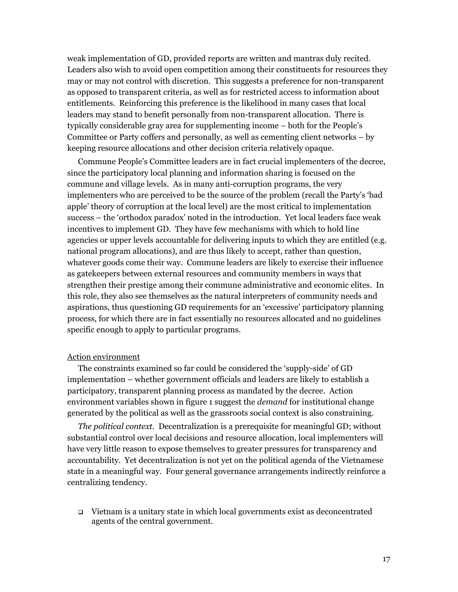weak implementation of GD, provided reports are written and mantras duly recited. Leaders also wish to avoid open competition among their constituents for resources they may or may not control with discretion. This suggests a preference for non-transparent as opposed to transparent criteria, as well as for restricted access to information about entitlements. Reinforcing this preference is the likelihood in many cases that local leaders may stand to benefit personally from non-transparent allocation. There is typically considerable gray area for supplementing income – both for the People's Committee or Party coffers and personally, as well as cementing client networks – by keeping resource allocations and other decision criteria relatively opaque.

Commune People's Committee leaders are in fact crucial implementers of the decree, since the participatory local planning and information sharing is focused on the commune and village levels. As in many anti-corruption programs, the very implementers who are perceived to be the source of the problem (recall the Party's 'bad apple' theory of corruption at the local level) are the most critical to implementation success – the 'orthodox paradox' noted in the introduction. Yet local leaders face weak incentives to implement GD. They have few mechanisms with which to hold line agencies or upper levels accountable for delivering inputs to which they are entitled (e.g. national program allocations), and are thus likely to accept, rather than question, whatever goods come their way. Commune leaders are likely to exercise their influence as gatekeepers between external resources and community members in ways that strengthen their prestige among their commune administrative and economic elites. In this role, they also see themselves as the natural interpreters of community needs and aspirations, thus questioning GD requirements for an 'excessive' participatory planning process, for which there are in fact essentially no resources allocated and no guidelines specific enough to apply to particular programs.

#### Action environment

The constraints examined so far could be considered the 'supply-side' of GD implementation – whether government officials and leaders are likely to establish a participatory, transparent planning process as mandated by the decree. Action environment variables shown in figure 1 suggest the *demand* for institutional change generated by the political as well as the grassroots social context is also constraining.

*The political context*. Decentralization is a prerequisite for meaningful GD; without substantial control over local decisions and resource allocation, local implementers will have very little reason to expose themselves to greater pressures for transparency and accountability. Yet decentralization is not yet on the political agenda of the Vietnamese state in a meaningful way. Four general governance arrangements indirectly reinforce a centralizing tendency.

 Vietnam is a unitary state in which local governments exist as deconcentrated agents of the central government.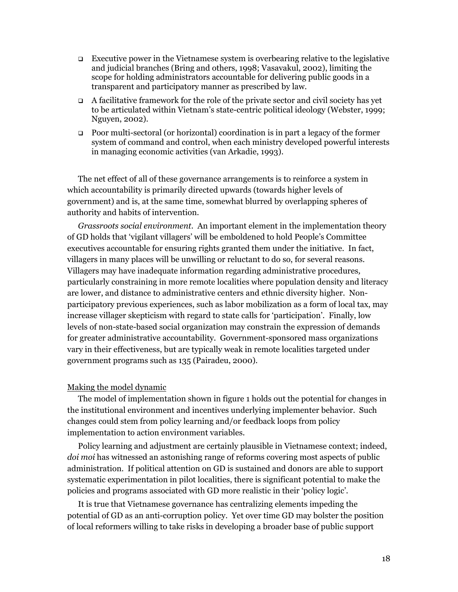- Executive power in the Vietnamese system is overbearing relative to the legislative and judicial branches (Bring and others, 1998; Vasavakul, 2002), limiting the scope for holding administrators accountable for delivering public goods in a transparent and participatory manner as prescribed by law.
- $\Box$  A facilitative framework for the role of the private sector and civil society has yet to be articulated within Vietnam's state-centric political ideology (Webster, 1999; Nguyen, 2002).
- Poor multi-sectoral (or horizontal) coordination is in part a legacy of the former system of command and control, when each ministry developed powerful interests in managing economic activities (van Arkadie, 1993).

The net effect of all of these governance arrangements is to reinforce a system in which accountability is primarily directed upwards (towards higher levels of government) and is, at the same time, somewhat blurred by overlapping spheres of authority and habits of intervention.

*Grassroots social environment*. An important element in the implementation theory of GD holds that 'vigilant villagers' will be emboldened to hold People's Committee executives accountable for ensuring rights granted them under the initiative. In fact, villagers in many places will be unwilling or reluctant to do so, for several reasons. Villagers may have inadequate information regarding administrative procedures*,*  particularly constraining in more remote localities where population density and literacy are lower, and distance to administrative centers and ethnic diversity higher. Nonparticipatory previous experiences, such as labor mobilization as a form of local tax, may increase villager skepticism with regard to state calls for 'participation'*.* Finally, low levels of non-state-based social organization may constrain the expression of demands for greater administrative accountability*.* Government-sponsored mass organizations vary in their effectiveness, but are typically weak in remote localities targeted under government programs such as 135 (Pairadeu, 2000).

# Making the model dynamic

The model of implementation shown in figure 1 holds out the potential for changes in the institutional environment and incentives underlying implementer behavior. Such changes could stem from policy learning and/or feedback loops from policy implementation to action environment variables.

Policy learning and adjustment are certainly plausible in Vietnamese context; indeed, *doi moi* has witnessed an astonishing range of reforms covering most aspects of public administration. If political attention on GD is sustained and donors are able to support systematic experimentation in pilot localities, there is significant potential to make the policies and programs associated with GD more realistic in their 'policy logic'.

It is true that Vietnamese governance has centralizing elements impeding the potential of GD as an anti-corruption policy. Yet over time GD may bolster the position of local reformers willing to take risks in developing a broader base of public support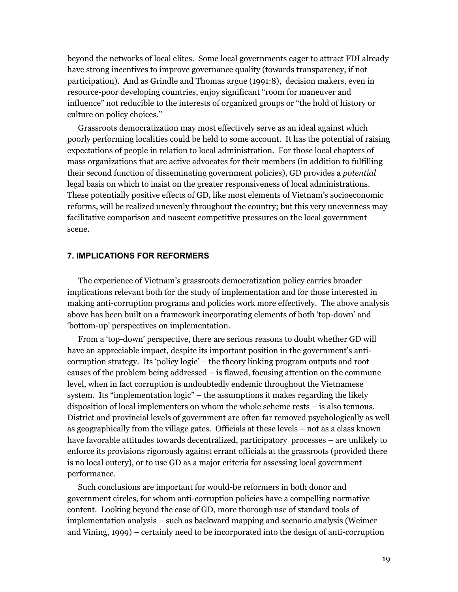beyond the networks of local elites. Some local governments eager to attract FDI already have strong incentives to improve governance quality (towards transparency, if not participation). And as Grindle and Thomas argue (1991:8), decision makers, even in resource-poor developing countries, enjoy significant "room for maneuver and influence" not reducible to the interests of organized groups or "the hold of history or culture on policy choices."

Grassroots democratization may most effectively serve as an ideal against which poorly performing localities could be held to some account. It has the potential of raising expectations of people in relation to local administration. For those local chapters of mass organizations that are active advocates for their members (in addition to fulfilling their second function of disseminating government policies), GD provides a *potential*  legal basis on which to insist on the greater responsiveness of local administrations. These potentially positive effects of GD, like most elements of Vietnam's socioeconomic reforms, will be realized unevenly throughout the country; but this very unevenness may facilitative comparison and nascent competitive pressures on the local government scene.

# **7. IMPLICATIONS FOR REFORMERS**

The experience of Vietnam's grassroots democratization policy carries broader implications relevant both for the study of implementation and for those interested in making anti-corruption programs and policies work more effectively. The above analysis above has been built on a framework incorporating elements of both 'top-down' and 'bottom-up' perspectives on implementation.

From a 'top-down' perspective, there are serious reasons to doubt whether GD will have an appreciable impact, despite its important position in the government's anticorruption strategy. Its 'policy logic' – the theory linking program outputs and root causes of the problem being addressed – is flawed, focusing attention on the commune level, when in fact corruption is undoubtedly endemic throughout the Vietnamese system. Its "implementation logic" – the assumptions it makes regarding the likely disposition of local implementers on whom the whole scheme rests – is also tenuous. District and provincial levels of government are often far removed psychologically as well as geographically from the village gates. Officials at these levels – not as a class known have favorable attitudes towards decentralized, participatory processes – are unlikely to enforce its provisions rigorously against errant officials at the grassroots (provided there is no local outcry), or to use GD as a major criteria for assessing local government performance.

Such conclusions are important for would-be reformers in both donor and government circles, for whom anti-corruption policies have a compelling normative content. Looking beyond the case of GD, more thorough use of standard tools of implementation analysis – such as backward mapping and scenario analysis (Weimer and Vining, 1999) – certainly need to be incorporated into the design of anti-corruption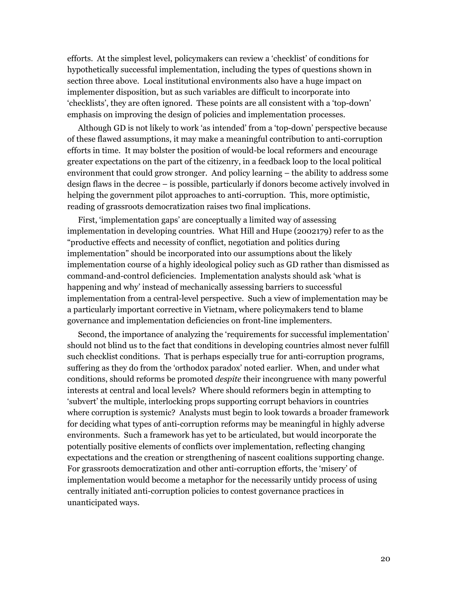efforts. At the simplest level, policymakers can review a 'checklist' of conditions for hypothetically successful implementation, including the types of questions shown in section three above. Local institutional environments also have a huge impact on implementer disposition, but as such variables are difficult to incorporate into 'checklists', they are often ignored. These points are all consistent with a 'top-down' emphasis on improving the design of policies and implementation processes.

Although GD is not likely to work 'as intended' from a 'top-down' perspective because of these flawed assumptions, it may make a meaningful contribution to anti-corruption efforts in time. It may bolster the position of would-be local reformers and encourage greater expectations on the part of the citizenry, in a feedback loop to the local political environment that could grow stronger. And policy learning – the ability to address some design flaws in the decree – is possible, particularly if donors become actively involved in helping the government pilot approaches to anti-corruption. This, more optimistic, reading of grassroots democratization raises two final implications.

First, 'implementation gaps' are conceptually a limited way of assessing implementation in developing countries. What Hill and Hupe (2002179) refer to as the "productive effects and necessity of conflict, negotiation and politics during implementation" should be incorporated into our assumptions about the likely implementation course of a highly ideological policy such as GD rather than dismissed as command-and-control deficiencies. Implementation analysts should ask 'what is happening and why' instead of mechanically assessing barriers to successful implementation from a central-level perspective. Such a view of implementation may be a particularly important corrective in Vietnam, where policymakers tend to blame governance and implementation deficiencies on front-line implementers.

Second, the importance of analyzing the 'requirements for successful implementation' should not blind us to the fact that conditions in developing countries almost never fulfill such checklist conditions. That is perhaps especially true for anti-corruption programs, suffering as they do from the 'orthodox paradox' noted earlier. When, and under what conditions, should reforms be promoted *despite* their incongruence with many powerful interests at central and local levels? Where should reformers begin in attempting to 'subvert' the multiple, interlocking props supporting corrupt behaviors in countries where corruption is systemic? Analysts must begin to look towards a broader framework for deciding what types of anti-corruption reforms may be meaningful in highly adverse environments. Such a framework has yet to be articulated, but would incorporate the potentially positive elements of conflicts over implementation, reflecting changing expectations and the creation or strengthening of nascent coalitions supporting change. For grassroots democratization and other anti-corruption efforts, the 'misery' of implementation would become a metaphor for the necessarily untidy process of using centrally initiated anti-corruption policies to contest governance practices in unanticipated ways.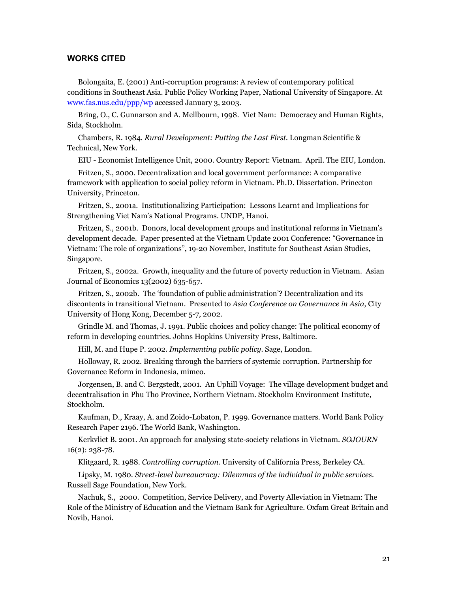#### **WORKS CITED**

Bolongaita, E. (2001) Anti-corruption programs: A review of contemporary political conditions in Southeast Asia. Public Policy Working Paper, National University of Singapore. At www.fas.nus.edu/ppp/wp accessed January 3, 2003.

Bring, O., C. Gunnarson and A. Mellbourn, 1998. Viet Nam: Democracy and Human Rights, Sida, Stockholm.

Chambers, R. 1984. *Rural Development: Putting the Last First.* Longman Scientific & Technical, New York.

EIU - Economist Intelligence Unit, 2000. Country Report: Vietnam. April. The EIU, London.

Fritzen, S., 2000. Decentralization and local government performance: A comparative framework with application to social policy reform in Vietnam. Ph.D. Dissertation. Princeton University, Princeton.

Fritzen, S., 2001a. Institutionalizing Participation: Lessons Learnt and Implications for Strengthening Viet Nam's National Programs. UNDP, Hanoi.

Fritzen, S., 2001b. Donors, local development groups and institutional reforms in Vietnam's development decade. Paper presented at the Vietnam Update 2001 Conference: "Governance in Vietnam: The role of organizations", 19-20 November, Institute for Southeast Asian Studies, Singapore.

Fritzen, S., 2002a. Growth, inequality and the future of poverty reduction in Vietnam. Asian Journal of Economics 13(2002) 635-657.

Fritzen, S., 2002b. The 'foundation of public administration'? Decentralization and its discontents in transitional Vietnam. Presented to *Asia Conference on Governance in Asia,* City University of Hong Kong, December 5-7, 2002.

Grindle M. and Thomas, J. 1991. Public choices and policy change: The political economy of reform in developing countries. Johns Hopkins University Press, Baltimore.

Hill, M. and Hupe P. 2002. *Implementing public policy.* Sage, London.

Holloway, R. 2002. Breaking through the barriers of systemic corruption. Partnership for Governance Reform in Indonesia, mimeo.

Jorgensen, B. and C. Bergstedt, 2001. An Uphill Voyage: The village development budget and decentralisation in Phu Tho Province, Northern Vietnam. Stockholm Environment Institute, Stockholm.

Kaufman, D., Kraay, A. and Zoido-Lobaton, P. 1999. Governance matters. World Bank Policy Research Paper 2196. The World Bank, Washington.

Kerkvliet B. 2001. An approach for analysing state-society relations in Vietnam. *SOJOURN* 16(2): 238-78.

Klitgaard, R. 1988. *Controlling corruption.* University of California Press, Berkeley CA.

Lipsky, M. 1980. *Street-level bureaucracy: Dilemmas of the individual in public services.*  Russell Sage Foundation, New York.

Nachuk, S., 2000. Competition, Service Delivery, and Poverty Alleviation in Vietnam: The Role of the Ministry of Education and the Vietnam Bank for Agriculture. Oxfam Great Britain and Novib, Hanoi.